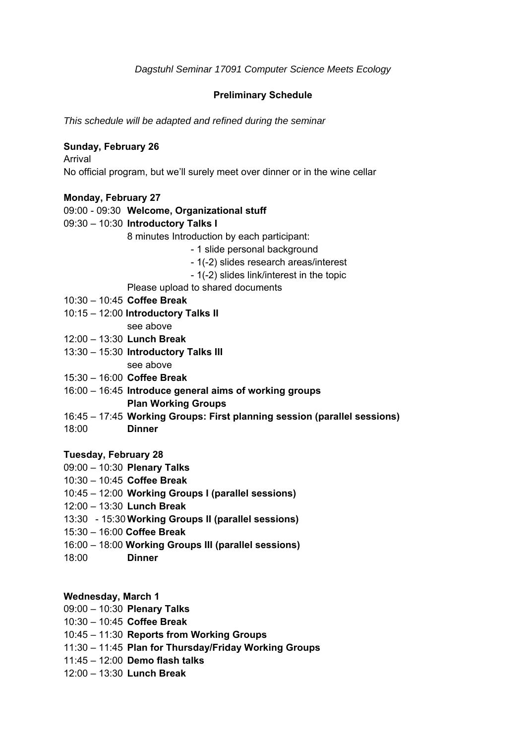# **Preliminary Schedule**

*This schedule will be adapted and refined during the seminar* 

# **Sunday, February 26**

Arrival No official program, but we'll surely meet over dinner or in the wine cellar

### **Monday, February 27**

09:00 - 09:30 **Welcome, Organizational stuff**

09:30 – 10:30 **Introductory Talks I** 

8 minutes Introduction by each participant:

- 1 slide personal background
- 1(-2) slides research areas/interest
- 1(-2) slides link/interest in the topic

Please upload to shared documents

- 10:30 10:45 **Coffee Break**
- 10:15 12:00 **Introductory Talks II** 
	- see above
- 12:00 13:30 **Lunch Break**
- 13:30 15:30 **Introductory Talks III**

see above

- 15:30 16:00 **Coffee Break**
- 16:00 16:45 **Introduce general aims of working groups Plan Working Groups**
- 16:45 17:45 **Working Groups: First planning session (parallel sessions)**
- 18:00 **Dinner**

### **Tuesday, February 28**

- 09:00 10:30 **Plenary Talks**
- 10:30 10:45 **Coffee Break**
- 10:45 12:00 **Working Groups I (parallel sessions)**
- 12:00 13:30 **Lunch Break**
- 13:30 15:30 **Working Groups II (parallel sessions)**
- 15:30 16:00 **Coffee Break**
- 16:00 18:00 **Working Groups III (parallel sessions)**
- 18:00 **Dinner**

### **Wednesday, March 1**

- 09:00 10:30 **Plenary Talks**
- 10:30 10:45 **Coffee Break**
- 10:45 11:30 **Reports from Working Groups**
- 11:30 11:45 **Plan for Thursday/Friday Working Groups**
- 11:45 12:00 **Demo flash talks**
- 12:00 13:30 **Lunch Break**